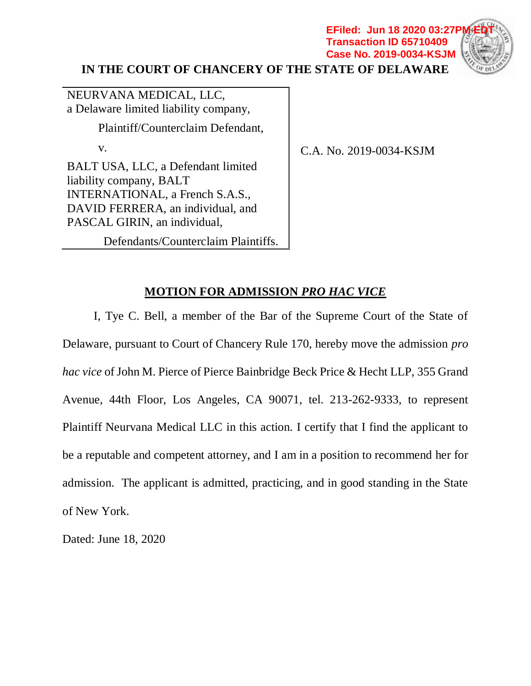**IN THE COURT OF CHANCERY OF THE STATE OF DELAWARE EFiled: Jun 18 2020 03:27P Transaction ID 65710409 Case No. 2019-0034-KSJM**



NEURVANA MEDICAL, LLC, a Delaware limited liability company, Plaintiff/Counterclaim Defendant, v. BALT USA, LLC, a Defendant limited liability company, BALT INTERNATIONAL, a French S.A.S., DAVID FERRERA, an individual, and PASCAL GIRIN, an individual,

C.A. No. 2019-0034-KSJM

Defendants/Counterclaim Plaintiffs.

## **MOTION FOR ADMISSION** *PRO HAC VICE*

I, Tye C. Bell, a member of the Bar of the Supreme Court of the State of Delaware, pursuant to Court of Chancery Rule 170, hereby move the admission *pro hac vice* of John M. Pierce of Pierce Bainbridge Beck Price & Hecht LLP, 355 Grand Avenue, 44th Floor, Los Angeles, CA 90071, tel. 213-262-9333, to represent Plaintiff Neurvana Medical LLC in this action. I certify that I find the applicant to be a reputable and competent attorney, and I am in a position to recommend her for admission. The applicant is admitted, practicing, and in good standing in the State of New York.

Dated: June 18, 2020